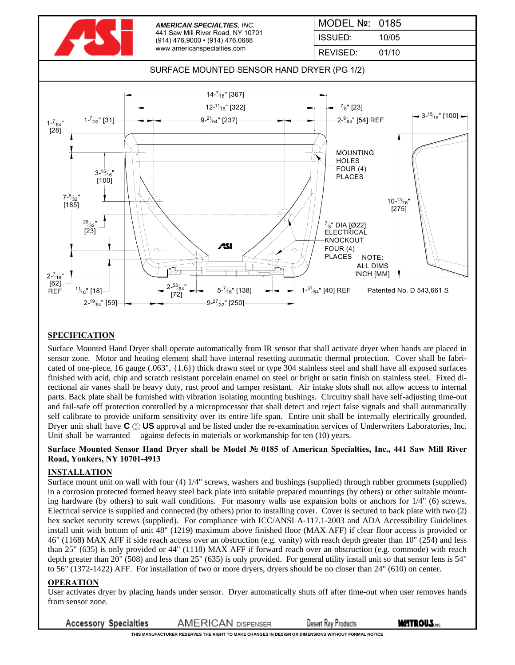

## **SPECIFICATION**

Surface Mounted Hand Dryer shall operate automatically from IR sensor that shall activate dryer when hands are placed in sensor zone. Motor and heating element shall have internal resetting automatic thermal protection. Cover shall be fabricated of one-piece, 16 gauge (.063", {1.6}) thick drawn steel or type 304 stainless steel and shall have all exposed surfaces finished with acid, chip and scratch resistant porcelain enamel on steel or bright or satin finish on stainless steel. Fixed directional air vanes shall be heavy duty, rust proof and tamper resistant. Air intake slots shall not allow access to internal parts. Back plate shall be furnished with vibration isolating mounting bushings. Circuitry shall have self-adjusting time-out and fail-safe off protection controlled by a microprocessor that shall detect and reject false signals and shall automatically self calibrate to provide uniform sensitivity over its entire life span. Entire unit shall be internally electrically grounded. Dryer unit shall have  $\mathbf{C} \odot \mathbf{U} \mathbf{S}$  approval and be listed under the re-examination services of Underwriters Laboratories, Inc. Unit shall be warranted against defects in materials or workmanship for ten (10) years.

#### **Surface Mounted Sensor Hand Dryer shall be Model № 0185 of American Specialties, Inc., 441 Saw Mill River Road, Yonkers, NY 10701-4913**

### **INSTALLATION**

Surface mount unit on wall with four (4) 1/4" screws, washers and bushings (supplied) through rubber grommets (supplied) in a corrosion protected formed heavy steel back plate into suitable prepared mountings (by others) or other suitable mounting hardware (by others) to suit wall conditions. For masonry walls use expansion bolts or anchors for 1/4" (6) screws. Electrical service is supplied and connected (by others) prior to installing cover. Cover is secured to back plate with two (2) hex socket security screws (supplied). For compliance with ICC/ANSI A-117.1-2003 and ADA Accessibility Guidelines install unit with bottom of unit 48" (1219) maximum above finished floor (MAX AFF) if clear floor access is provided or 46" (1168) MAX AFF if side reach access over an obstruction (e.g. vanity) with reach depth greater than 10" (254) and less than 25" (635) is only provided or 44" (1118) MAX AFF if forward reach over an obstruction (e.g. commode) with reach depth greater than 20" (508) and less than 25" (635) is only provided. For general utility install unit so that sensor lens is 54" to 56" (1372-1422) AFF. For installation of two or more dryers, dryers should be no closer than 24" (610) on center.

#### **OPERATION**

User activates dryer by placing hands under sensor. Dryer automatically shuts off after time-out when user removes hands from sensor zone.

**Accessory Specialties AMERICAN DISPENSER Desert Ray Products** 

**THIS MANUFACTURER RESERVES THE RIGHT TO MAKE CHANGES IN DESIGN OR DIMENSIONS WITHOUT FORMAL NOTICE**